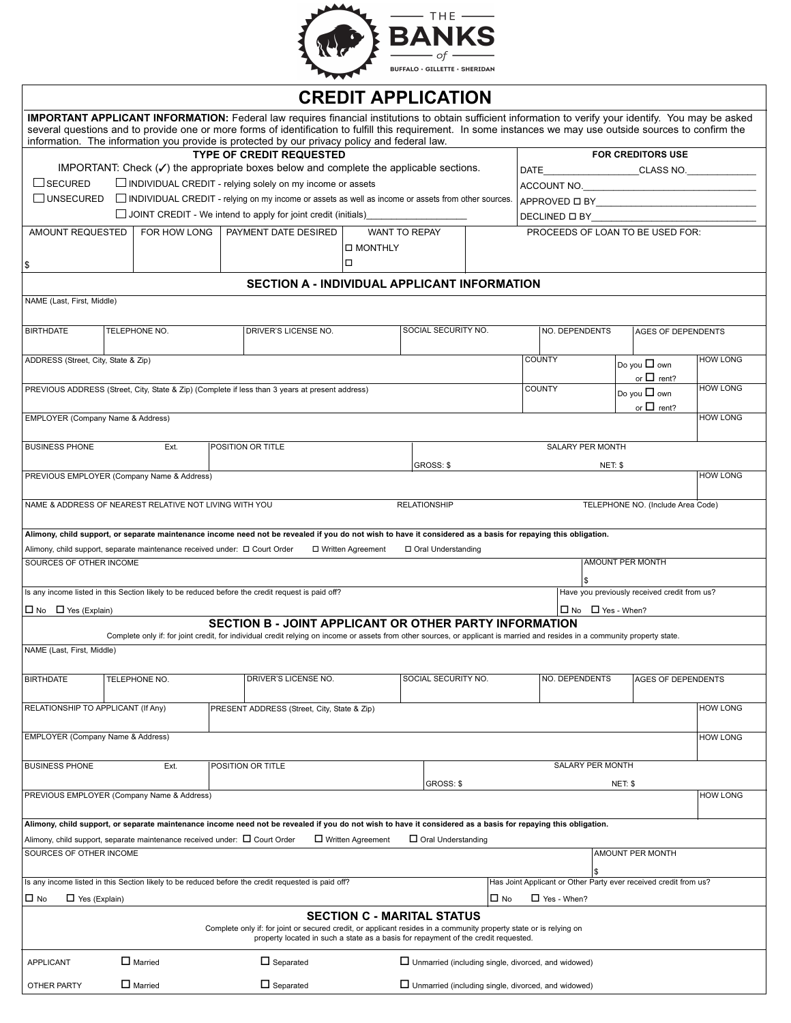

|                                                                                                                                                                                                                                               |                                                                                             |  | <b>IMPORTANT APPLICANT INFORMATION:</b> Federal law requires financial institutions to obtain sufficient information to verify your identify. You may be asked<br>several questions and to provide one or more forms of identification to fulfill this requirement. In some instances we may use outside sources to confirm the<br>information. The information you provide is protected by our privacy policy and federal law. |                           |           |                                                                  |                         |                      |                 |  |
|-----------------------------------------------------------------------------------------------------------------------------------------------------------------------------------------------------------------------------------------------|---------------------------------------------------------------------------------------------|--|---------------------------------------------------------------------------------------------------------------------------------------------------------------------------------------------------------------------------------------------------------------------------------------------------------------------------------------------------------------------------------------------------------------------------------|---------------------------|-----------|------------------------------------------------------------------|-------------------------|----------------------|-----------------|--|
|                                                                                                                                                                                                                                               | <b>TYPE OF CREDIT REQUESTED</b>                                                             |  | <b>FOR CREDITORS USE</b>                                                                                                                                                                                                                                                                                                                                                                                                        |                           |           |                                                                  |                         |                      |                 |  |
|                                                                                                                                                                                                                                               |                                                                                             |  | IMPORTANT: Check $(\checkmark)$ the appropriate boxes below and complete the applicable sections.                                                                                                                                                                                                                                                                                                                               |                           |           |                                                                  |                         |                      |                 |  |
| $\Box$ SECURED                                                                                                                                                                                                                                |                                                                                             |  |                                                                                                                                                                                                                                                                                                                                                                                                                                 |                           |           |                                                                  |                         |                      |                 |  |
| $\Box$ INDIVIDUAL CREDIT - relying solely on my income or assets<br>UNSECURED<br>$\Box$ INDIVIDUAL CREDIT - relying on my income or assets as well as income or assets from other sources.                                                    |                                                                                             |  |                                                                                                                                                                                                                                                                                                                                                                                                                                 |                           |           |                                                                  |                         |                      |                 |  |
| $\Box$ JOINT CREDIT - We intend to apply for joint credit (initials)                                                                                                                                                                          |                                                                                             |  |                                                                                                                                                                                                                                                                                                                                                                                                                                 |                           |           |                                                                  |                         |                      |                 |  |
|                                                                                                                                                                                                                                               |                                                                                             |  |                                                                                                                                                                                                                                                                                                                                                                                                                                 |                           |           | DECLINED $\Box$ BY                                               |                         |                      |                 |  |
| AMOUNT REQUESTED                                                                                                                                                                                                                              | FOR HOW LONG                                                                                |  | PAYMENT DATE DESIRED<br>□ MONTHLY                                                                                                                                                                                                                                                                                                                                                                                               | <b>WANT TO REPAY</b>      |           | PROCEEDS OF LOAN TO BE USED FOR:                                 |                         |                      |                 |  |
| \$                                                                                                                                                                                                                                            |                                                                                             |  | о                                                                                                                                                                                                                                                                                                                                                                                                                               |                           |           |                                                                  |                         |                      |                 |  |
| <b>SECTION A - INDIVIDUAL APPLICANT INFORMATION</b>                                                                                                                                                                                           |                                                                                             |  |                                                                                                                                                                                                                                                                                                                                                                                                                                 |                           |           |                                                                  |                         |                      |                 |  |
|                                                                                                                                                                                                                                               |                                                                                             |  |                                                                                                                                                                                                                                                                                                                                                                                                                                 |                           |           |                                                                  |                         |                      |                 |  |
| NAME (Last, First, Middle)                                                                                                                                                                                                                    |                                                                                             |  |                                                                                                                                                                                                                                                                                                                                                                                                                                 |                           |           |                                                                  |                         |                      |                 |  |
| <b>BIRTHDATE</b>                                                                                                                                                                                                                              | TELEPHONE NO.                                                                               |  | DRIVER'S LICENSE NO.                                                                                                                                                                                                                                                                                                                                                                                                            | SOCIAL SECURITY NO.       |           | NO. DEPENDENTS                                                   |                         | AGES OF DEPENDENTS   |                 |  |
| ADDRESS (Street, City, State & Zip)                                                                                                                                                                                                           |                                                                                             |  |                                                                                                                                                                                                                                                                                                                                                                                                                                 |                           |           | COUNTY                                                           |                         | Do you $\square$ own | <b>HOW LONG</b> |  |
|                                                                                                                                                                                                                                               |                                                                                             |  |                                                                                                                                                                                                                                                                                                                                                                                                                                 |                           |           |                                                                  |                         | or $\Box$ rent?      |                 |  |
|                                                                                                                                                                                                                                               |                                                                                             |  | PREVIOUS ADDRESS (Street, City, State & Zip) (Complete if less than 3 years at present address)                                                                                                                                                                                                                                                                                                                                 | <b>COUNTY</b>             |           |                                                                  |                         | Do you $\Box$ own    | <b>HOW LONG</b> |  |
|                                                                                                                                                                                                                                               |                                                                                             |  |                                                                                                                                                                                                                                                                                                                                                                                                                                 |                           |           |                                                                  |                         | or $\Box$ rent?      |                 |  |
| EMPLOYER (Company Name & Address)                                                                                                                                                                                                             |                                                                                             |  |                                                                                                                                                                                                                                                                                                                                                                                                                                 |                           |           |                                                                  |                         |                      | <b>HOW LONG</b> |  |
| <b>BUSINESS PHONE</b>                                                                                                                                                                                                                         | Ext.                                                                                        |  | POSITION OR TITLE                                                                                                                                                                                                                                                                                                                                                                                                               |                           |           |                                                                  | SALARY PER MONTH        |                      |                 |  |
|                                                                                                                                                                                                                                               |                                                                                             |  |                                                                                                                                                                                                                                                                                                                                                                                                                                 |                           |           |                                                                  |                         |                      |                 |  |
|                                                                                                                                                                                                                                               | PREVIOUS EMPLOYER (Company Name & Address)                                                  |  |                                                                                                                                                                                                                                                                                                                                                                                                                                 | GROSS: \$                 |           |                                                                  | NET: \$                 |                      | <b>HOW LONG</b> |  |
|                                                                                                                                                                                                                                               |                                                                                             |  |                                                                                                                                                                                                                                                                                                                                                                                                                                 |                           |           |                                                                  |                         |                      |                 |  |
| NAME & ADDRESS OF NEAREST RELATIVE NOT LIVING WITH YOU<br><b>RELATIONSHIP</b><br>TELEPHONE NO. (Include Area Code)                                                                                                                            |                                                                                             |  |                                                                                                                                                                                                                                                                                                                                                                                                                                 |                           |           |                                                                  |                         |                      |                 |  |
|                                                                                                                                                                                                                                               |                                                                                             |  |                                                                                                                                                                                                                                                                                                                                                                                                                                 |                           |           |                                                                  |                         |                      |                 |  |
|                                                                                                                                                                                                                                               |                                                                                             |  | Alimony, child support, or separate maintenance income need not be revealed if you do not wish to have it considered as a basis for repaying this obligation.                                                                                                                                                                                                                                                                   |                           |           |                                                                  |                         |                      |                 |  |
|                                                                                                                                                                                                                                               | Alimony, child support, separate maintenance received under: □ Court Order                  |  | □ Written Agreement                                                                                                                                                                                                                                                                                                                                                                                                             | □ Oral Understanding      |           |                                                                  |                         |                      |                 |  |
| SOURCES OF OTHER INCOME                                                                                                                                                                                                                       |                                                                                             |  |                                                                                                                                                                                                                                                                                                                                                                                                                                 |                           |           | \$                                                               | <b>AMOUNT PER MONTH</b> |                      |                 |  |
| Is any income listed in this Section likely to be reduced before the credit request is paid off?<br>Have you previously received credit from us?                                                                                              |                                                                                             |  |                                                                                                                                                                                                                                                                                                                                                                                                                                 |                           |           |                                                                  |                         |                      |                 |  |
| $\Box$ No $\Box$ Yes (Explain)<br>$\Box$ No $\Box$ Yes - When?                                                                                                                                                                                |                                                                                             |  |                                                                                                                                                                                                                                                                                                                                                                                                                                 |                           |           |                                                                  |                         |                      |                 |  |
| SECTION B - JOINT APPLICANT OR OTHER PARTY INFORMATION                                                                                                                                                                                        |                                                                                             |  |                                                                                                                                                                                                                                                                                                                                                                                                                                 |                           |           |                                                                  |                         |                      |                 |  |
|                                                                                                                                                                                                                                               |                                                                                             |  | Complete only if: for joint credit, for individual credit relying on income or assets from other sources, or applicant is married and resides in a community property state.                                                                                                                                                                                                                                                    |                           |           |                                                                  |                         |                      |                 |  |
| NAME (Last, First, Middle)                                                                                                                                                                                                                    |                                                                                             |  |                                                                                                                                                                                                                                                                                                                                                                                                                                 |                           |           |                                                                  |                         |                      |                 |  |
|                                                                                                                                                                                                                                               |                                                                                             |  |                                                                                                                                                                                                                                                                                                                                                                                                                                 |                           |           |                                                                  |                         |                      |                 |  |
| <b>BIRTHDATE</b>                                                                                                                                                                                                                              | TELEPHONE NO.                                                                               |  | DRIVER'S LICENSE NO.                                                                                                                                                                                                                                                                                                                                                                                                            | SOCIAL SECURITY NO.       |           | NO. DEPENDENTS<br><b>AGES OF DEPENDENTS</b>                      |                         |                      |                 |  |
| RELATIONSHIP TO APPLICANT (If Any)                                                                                                                                                                                                            |                                                                                             |  | PRESENT ADDRESS (Street, City, State & Zip)                                                                                                                                                                                                                                                                                                                                                                                     |                           |           |                                                                  |                         |                      | <b>HOW LONG</b> |  |
|                                                                                                                                                                                                                                               |                                                                                             |  |                                                                                                                                                                                                                                                                                                                                                                                                                                 |                           |           |                                                                  |                         |                      |                 |  |
| EMPLOYER (Company Name & Address)                                                                                                                                                                                                             |                                                                                             |  |                                                                                                                                                                                                                                                                                                                                                                                                                                 |                           |           |                                                                  |                         |                      | <b>HOW LONG</b> |  |
| <b>BUSINESS PHONE</b>                                                                                                                                                                                                                         | Ext.                                                                                        |  | POSITION OR TITLE                                                                                                                                                                                                                                                                                                                                                                                                               |                           |           |                                                                  | SALARY PER MONTH        |                      |                 |  |
|                                                                                                                                                                                                                                               |                                                                                             |  |                                                                                                                                                                                                                                                                                                                                                                                                                                 |                           |           |                                                                  |                         |                      |                 |  |
|                                                                                                                                                                                                                                               | PREVIOUS EMPLOYER (Company Name & Address)                                                  |  |                                                                                                                                                                                                                                                                                                                                                                                                                                 | GROSS: \$                 |           |                                                                  | NET: \$                 |                      |                 |  |
|                                                                                                                                                                                                                                               |                                                                                             |  |                                                                                                                                                                                                                                                                                                                                                                                                                                 |                           |           |                                                                  |                         |                      | <b>HOW LONG</b> |  |
|                                                                                                                                                                                                                                               |                                                                                             |  |                                                                                                                                                                                                                                                                                                                                                                                                                                 |                           |           |                                                                  |                         |                      |                 |  |
|                                                                                                                                                                                                                                               |                                                                                             |  | Alimony, child support, or separate maintenance income need not be revealed if you do not wish to have it considered as a basis for repaying this obligation.                                                                                                                                                                                                                                                                   |                           |           |                                                                  |                         |                      |                 |  |
|                                                                                                                                                                                                                                               | Alimony, child support, separate maintenance received under: $\Box$ Court Order             |  | $\Box$ Written Agreement                                                                                                                                                                                                                                                                                                                                                                                                        | $\Box$ Oral Understanding |           |                                                                  |                         |                      |                 |  |
| SOURCES OF OTHER INCOME                                                                                                                                                                                                                       |                                                                                             |  |                                                                                                                                                                                                                                                                                                                                                                                                                                 |                           |           |                                                                  |                         | AMOUNT PER MONTH     |                 |  |
|                                                                                                                                                                                                                                               |                                                                                             |  |                                                                                                                                                                                                                                                                                                                                                                                                                                 |                           |           |                                                                  |                         |                      |                 |  |
|                                                                                                                                                                                                                                               |                                                                                             |  | Is any income listed in this Section likely to be reduced before the credit requested is paid off?                                                                                                                                                                                                                                                                                                                              |                           |           | Has Joint Applicant or Other Party ever received credit from us? |                         |                      |                 |  |
| $\Box$ No<br>$\Box$ Yes (Explain)                                                                                                                                                                                                             |                                                                                             |  |                                                                                                                                                                                                                                                                                                                                                                                                                                 |                           | $\Box$ No | $\Box$ Yes - When?                                               |                         |                      |                 |  |
|                                                                                                                                                                                                                                               |                                                                                             |  |                                                                                                                                                                                                                                                                                                                                                                                                                                 |                           |           |                                                                  |                         |                      |                 |  |
| <b>SECTION C - MARITAL STATUS</b><br>Complete only if: for joint or secured credit, or applicant resides in a community property state or is relying on<br>property located in such a state as a basis for repayment of the credit requested. |                                                                                             |  |                                                                                                                                                                                                                                                                                                                                                                                                                                 |                           |           |                                                                  |                         |                      |                 |  |
| <b>APPLICANT</b>                                                                                                                                                                                                                              | $\Box$ Married                                                                              |  | $\Box$ Separated                                                                                                                                                                                                                                                                                                                                                                                                                |                           |           | $\Box$ Unmarried (including single, divorced, and widowed)       |                         |                      |                 |  |
| OTHER PARTY                                                                                                                                                                                                                                   | $\Box$ Married<br>$\Box$ Separated<br>□ Unmarried (including single, divorced, and widowed) |  |                                                                                                                                                                                                                                                                                                                                                                                                                                 |                           |           |                                                                  |                         |                      |                 |  |